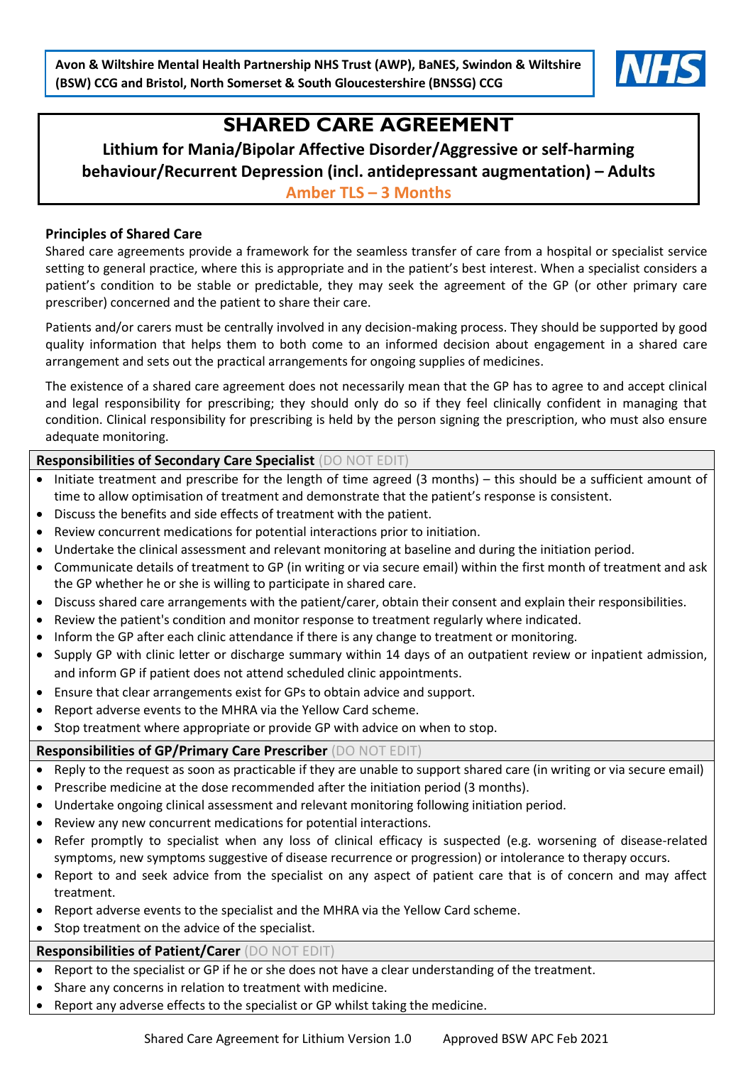

# **SHARED CARE AGREEMENT**

**Lithium for Mania/Bipolar Affective Disorder/Aggressive or self-harming behaviour/Recurrent Depression (incl. antidepressant augmentation) – Adults Amber TLS – 3 Months**

### **Principles of Shared Care**

Shared care agreements provide a framework for the seamless transfer of care from a hospital or specialist service setting to general practice, where this is appropriate and in the patient's best interest. When a specialist considers a patient's condition to be stable or predictable, they may seek the agreement of the GP (or other primary care prescriber) concerned and the patient to share their care.

Patients and/or carers must be centrally involved in any decision-making process. They should be supported by good quality information that helps them to both come to an informed decision about engagement in a shared care arrangement and sets out the practical arrangements for ongoing supplies of medicines.

The existence of a shared care agreement does not necessarily mean that the GP has to agree to and accept clinical and legal responsibility for prescribing; they should only do so if they feel clinically confident in managing that condition. Clinical responsibility for prescribing is held by the person signing the prescription, who must also ensure adequate monitoring.

#### **Responsibilities of Secondary Care Specialist** (DO NOT EDIT)

- Initiate treatment and prescribe for the length of time agreed (3 months) this should be a sufficient amount of time to allow optimisation of treatment and demonstrate that the patient's response is consistent.
- Discuss the benefits and side effects of treatment with the patient.
- Review concurrent medications for potential interactions prior to initiation.
- Undertake the clinical assessment and relevant monitoring at baseline and during the initiation period.
- Communicate details of treatment to GP (in writing or via secure email) within the first month of treatment and ask the GP whether he or she is willing to participate in shared care.
- Discuss shared care arrangements with the patient/carer, obtain their consent and explain their responsibilities.
- Review the patient's condition and monitor response to treatment regularly where indicated.
- Inform the GP after each clinic attendance if there is any change to treatment or monitoring.
- Supply GP with clinic letter or discharge summary within 14 days of an outpatient review or inpatient admission, and inform GP if patient does not attend scheduled clinic appointments.
- Ensure that clear arrangements exist for GPs to obtain advice and support.
- Report adverse events to the MHRA via the Yellow Card scheme.
- Stop treatment where appropriate or provide GP with advice on when to stop.

## **Responsibilities of GP/Primary Care Prescriber** (DO NOT EDIT)

- Reply to the request as soon as practicable if they are unable to support shared care (in writing or via secure email)
- Prescribe medicine at the dose recommended after the initiation period (3 months).
- Undertake ongoing clinical assessment and relevant monitoring following initiation period.
- Review any new concurrent medications for potential interactions.
- Refer promptly to specialist when any loss of clinical efficacy is suspected (e.g. worsening of disease-related symptoms, new symptoms suggestive of disease recurrence or progression) or intolerance to therapy occurs.
- Report to and seek advice from the specialist on any aspect of patient care that is of concern and may affect treatment.
- Report adverse events to the specialist and the MHRA via the Yellow Card scheme.
- Stop treatment on the advice of the specialist.

## **Responsibilities of Patient/Carer** (DO NOT EDIT)

- Report to the specialist or GP if he or she does not have a clear understanding of the treatment.
- Share any concerns in relation to treatment with medicine.
- Report any adverse effects to the specialist or GP whilst taking the medicine.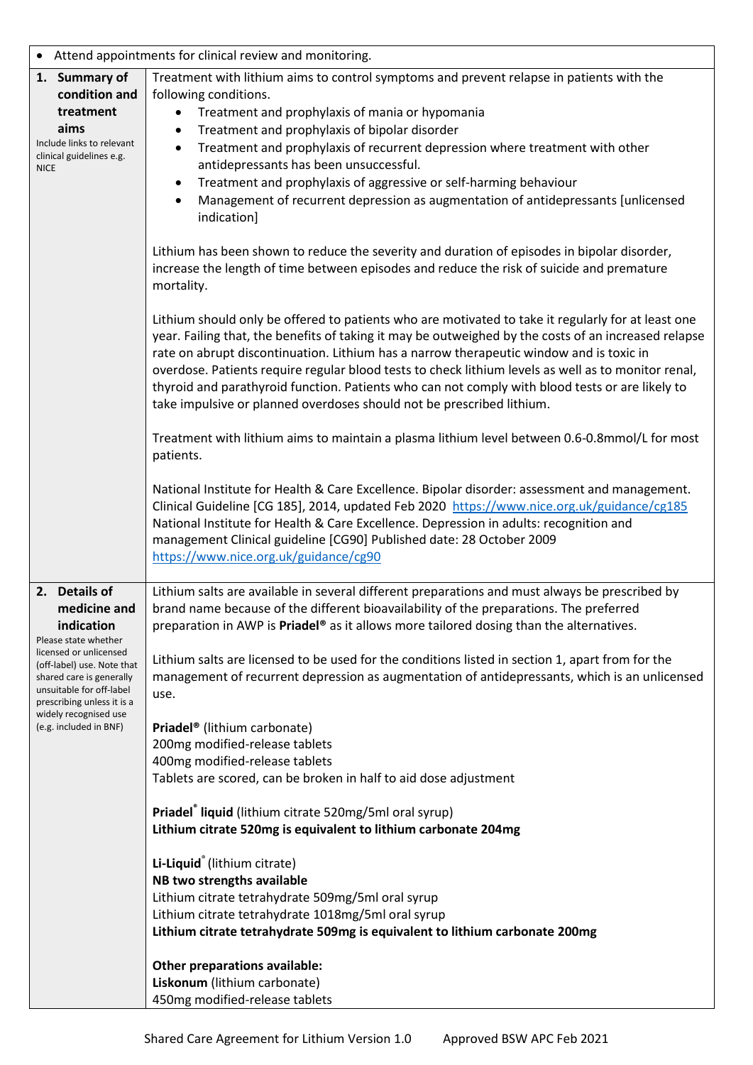| Attend appointments for clinical review and monitoring.                                                                                                                                                                                                              |                                                                                                                                                                                                                                                                                                                                                                                                                                                                                                                                                                                                                                                                                                                                                                                                                                                                                                                                                                                                                                                                                                                                                                                                                                                                                                                                                                                                                                                                                                                                                                                                                                                                                                                                                                                                                                                                                       |  |
|----------------------------------------------------------------------------------------------------------------------------------------------------------------------------------------------------------------------------------------------------------------------|---------------------------------------------------------------------------------------------------------------------------------------------------------------------------------------------------------------------------------------------------------------------------------------------------------------------------------------------------------------------------------------------------------------------------------------------------------------------------------------------------------------------------------------------------------------------------------------------------------------------------------------------------------------------------------------------------------------------------------------------------------------------------------------------------------------------------------------------------------------------------------------------------------------------------------------------------------------------------------------------------------------------------------------------------------------------------------------------------------------------------------------------------------------------------------------------------------------------------------------------------------------------------------------------------------------------------------------------------------------------------------------------------------------------------------------------------------------------------------------------------------------------------------------------------------------------------------------------------------------------------------------------------------------------------------------------------------------------------------------------------------------------------------------------------------------------------------------------------------------------------------------|--|
| 1. Summary of<br>condition and<br>treatment<br>aims<br>Include links to relevant<br>clinical guidelines e.g.<br><b>NICE</b>                                                                                                                                          | Treatment with lithium aims to control symptoms and prevent relapse in patients with the<br>following conditions.<br>Treatment and prophylaxis of mania or hypomania<br>Treatment and prophylaxis of bipolar disorder<br>$\bullet$<br>Treatment and prophylaxis of recurrent depression where treatment with other<br>$\bullet$<br>antidepressants has been unsuccessful.<br>Treatment and prophylaxis of aggressive or self-harming behaviour<br>٠<br>Management of recurrent depression as augmentation of antidepressants [unlicensed<br>indication]<br>Lithium has been shown to reduce the severity and duration of episodes in bipolar disorder,<br>increase the length of time between episodes and reduce the risk of suicide and premature<br>mortality.<br>Lithium should only be offered to patients who are motivated to take it regularly for at least one<br>year. Failing that, the benefits of taking it may be outweighed by the costs of an increased relapse<br>rate on abrupt discontinuation. Lithium has a narrow therapeutic window and is toxic in<br>overdose. Patients require regular blood tests to check lithium levels as well as to monitor renal,<br>thyroid and parathyroid function. Patients who can not comply with blood tests or are likely to<br>take impulsive or planned overdoses should not be prescribed lithium.<br>Treatment with lithium aims to maintain a plasma lithium level between 0.6-0.8mmol/L for most<br>patients.<br>National Institute for Health & Care Excellence. Bipolar disorder: assessment and management.<br>Clinical Guideline [CG 185], 2014, updated Feb 2020 https://www.nice.org.uk/guidance/cg185<br>National Institute for Health & Care Excellence. Depression in adults: recognition and<br>management Clinical guideline [CG90] Published date: 28 October 2009<br>https://www.nice.org.uk/guidance/cg90 |  |
| 2. Details of<br>medicine and<br>indication<br>Please state whether<br>licensed or unlicensed<br>(off-label) use. Note that<br>shared care is generally<br>unsuitable for off-label<br>prescribing unless it is a<br>widely recognised use<br>(e.g. included in BNF) | Lithium salts are available in several different preparations and must always be prescribed by<br>brand name because of the different bioavailability of the preparations. The preferred<br>preparation in AWP is Priadel <sup>®</sup> as it allows more tailored dosing than the alternatives.<br>Lithium salts are licensed to be used for the conditions listed in section 1, apart from for the<br>management of recurrent depression as augmentation of antidepressants, which is an unlicensed<br>use.<br>Priadel <sup>®</sup> (lithium carbonate)<br>200mg modified-release tablets<br>400mg modified-release tablets<br>Tablets are scored, can be broken in half to aid dose adjustment<br>Priadel <sup>®</sup> liquid (lithium citrate 520mg/5ml oral syrup)<br>Lithium citrate 520mg is equivalent to lithium carbonate 204mg<br>Li-Liquid <sup>®</sup> (lithium citrate)<br>NB two strengths available<br>Lithium citrate tetrahydrate 509mg/5ml oral syrup<br>Lithium citrate tetrahydrate 1018mg/5ml oral syrup<br>Lithium citrate tetrahydrate 509mg is equivalent to lithium carbonate 200mg<br>Other preparations available:<br>Liskonum (lithium carbonate)<br>450mg modified-release tablets                                                                                                                                                                                                                                                                                                                                                                                                                                                                                                                                                                                                                                                                       |  |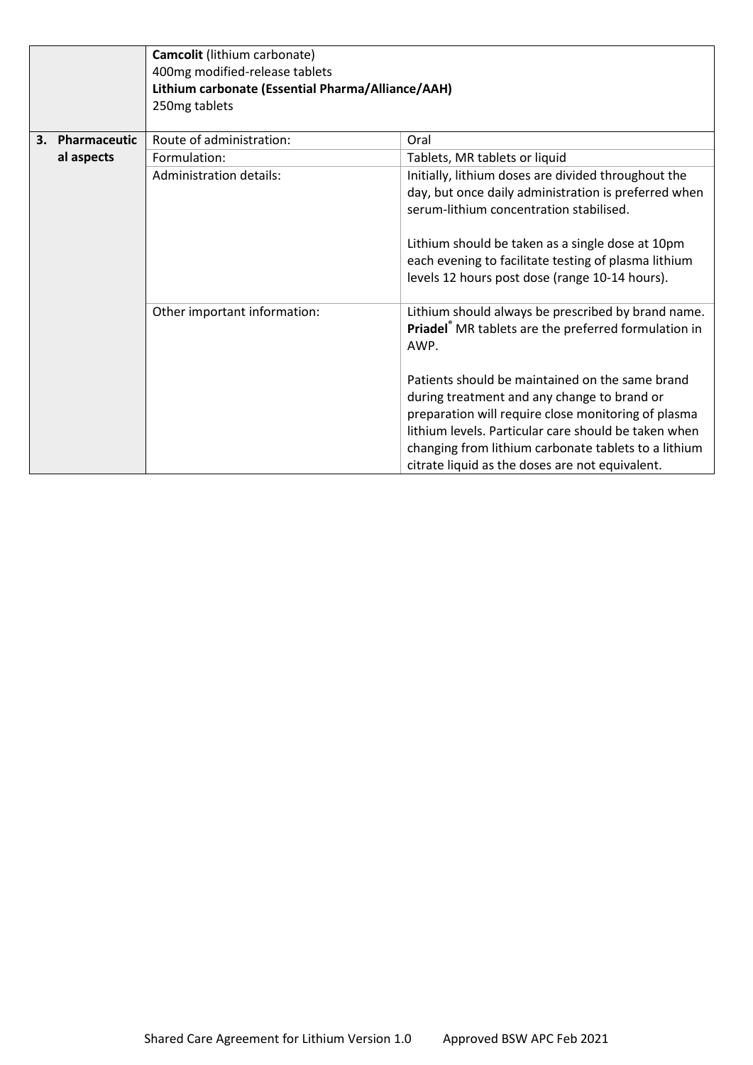|    |              | Camcolit (lithium carbonate)<br>400mg modified-release tablets<br>Lithium carbonate (Essential Pharma/Alliance/AAH)<br>250mg tablets |                                                                                                                                                                                                                                                                                                                                                                                                                                                |
|----|--------------|--------------------------------------------------------------------------------------------------------------------------------------|------------------------------------------------------------------------------------------------------------------------------------------------------------------------------------------------------------------------------------------------------------------------------------------------------------------------------------------------------------------------------------------------------------------------------------------------|
| 3. | Pharmaceutic | Route of administration:                                                                                                             | Oral                                                                                                                                                                                                                                                                                                                                                                                                                                           |
|    | al aspects   | Formulation:                                                                                                                         | Tablets, MR tablets or liquid                                                                                                                                                                                                                                                                                                                                                                                                                  |
|    |              | Administration details:                                                                                                              | Initially, lithium doses are divided throughout the<br>day, but once daily administration is preferred when<br>serum-lithium concentration stabilised.<br>Lithium should be taken as a single dose at 10pm<br>each evening to facilitate testing of plasma lithium<br>levels 12 hours post dose (range 10-14 hours).                                                                                                                           |
|    |              | Other important information:                                                                                                         | Lithium should always be prescribed by brand name.<br>Priadel® MR tablets are the preferred formulation in<br>AWP.<br>Patients should be maintained on the same brand<br>during treatment and any change to brand or<br>preparation will require close monitoring of plasma<br>lithium levels. Particular care should be taken when<br>changing from lithium carbonate tablets to a lithium<br>citrate liquid as the doses are not equivalent. |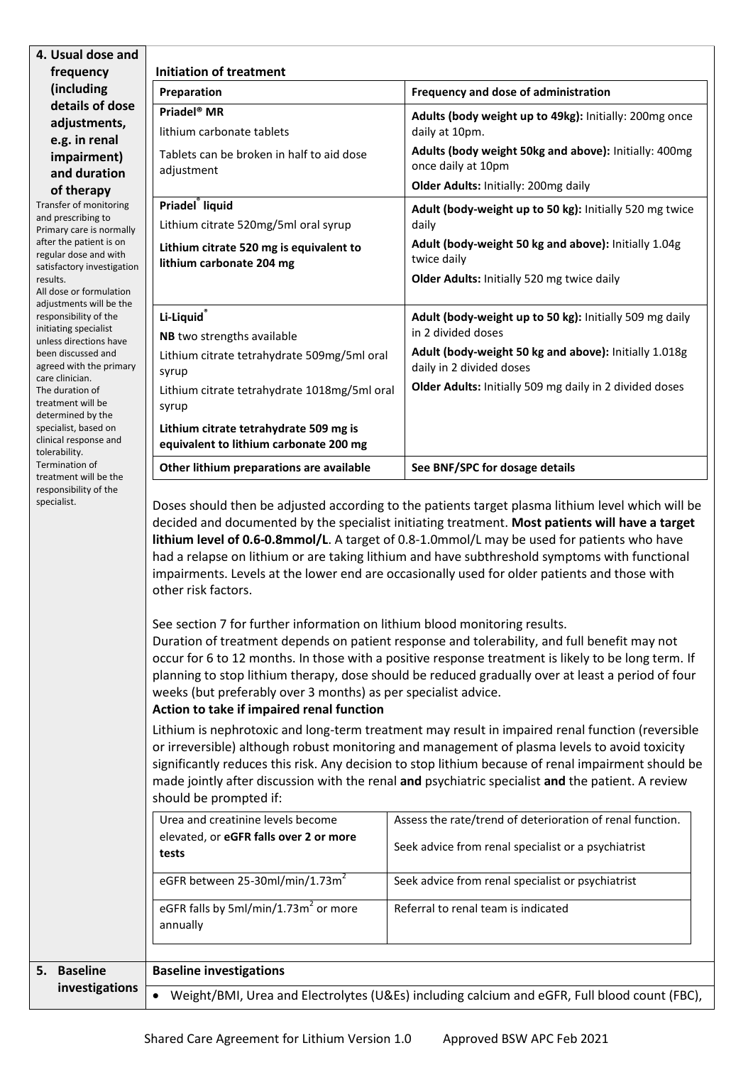| 4. Usual dose and                                                            |                                                                                                                                                                                                                                                                                                                                                                                                                                                                                                                                                                                                                                                                                                                                                                                                                                                                                                                       |                                                                                                                                                                                                                                                                                                                                                                                                               |  |  |
|------------------------------------------------------------------------------|-----------------------------------------------------------------------------------------------------------------------------------------------------------------------------------------------------------------------------------------------------------------------------------------------------------------------------------------------------------------------------------------------------------------------------------------------------------------------------------------------------------------------------------------------------------------------------------------------------------------------------------------------------------------------------------------------------------------------------------------------------------------------------------------------------------------------------------------------------------------------------------------------------------------------|---------------------------------------------------------------------------------------------------------------------------------------------------------------------------------------------------------------------------------------------------------------------------------------------------------------------------------------------------------------------------------------------------------------|--|--|
| frequency                                                                    | <b>Initiation of treatment</b>                                                                                                                                                                                                                                                                                                                                                                                                                                                                                                                                                                                                                                                                                                                                                                                                                                                                                        |                                                                                                                                                                                                                                                                                                                                                                                                               |  |  |
| (including<br>details of dose                                                | Preparation                                                                                                                                                                                                                                                                                                                                                                                                                                                                                                                                                                                                                                                                                                                                                                                                                                                                                                           | Frequency and dose of administration                                                                                                                                                                                                                                                                                                                                                                          |  |  |
| adjustments,                                                                 | Priadel <sup>®</sup> MR<br>lithium carbonate tablets                                                                                                                                                                                                                                                                                                                                                                                                                                                                                                                                                                                                                                                                                                                                                                                                                                                                  | Adults (body weight up to 49kg): Initially: 200mg once<br>daily at 10pm.                                                                                                                                                                                                                                                                                                                                      |  |  |
| e.g. in renal<br>impairment)                                                 | Tablets can be broken in half to aid dose<br>adjustment                                                                                                                                                                                                                                                                                                                                                                                                                                                                                                                                                                                                                                                                                                                                                                                                                                                               | Adults (body weight 50kg and above): Initially: 400mg<br>once daily at 10pm                                                                                                                                                                                                                                                                                                                                   |  |  |
| and duration                                                                 |                                                                                                                                                                                                                                                                                                                                                                                                                                                                                                                                                                                                                                                                                                                                                                                                                                                                                                                       | Older Adults: Initially: 200mg daily                                                                                                                                                                                                                                                                                                                                                                          |  |  |
| of therapy<br>Transfer of monitoring                                         | Priadel <sup>®</sup> liquid                                                                                                                                                                                                                                                                                                                                                                                                                                                                                                                                                                                                                                                                                                                                                                                                                                                                                           |                                                                                                                                                                                                                                                                                                                                                                                                               |  |  |
| and prescribing to                                                           | Lithium citrate 520mg/5ml oral syrup                                                                                                                                                                                                                                                                                                                                                                                                                                                                                                                                                                                                                                                                                                                                                                                                                                                                                  | Adult (body-weight up to 50 kg): Initially 520 mg twice<br>daily                                                                                                                                                                                                                                                                                                                                              |  |  |
| Primary care is normally<br>after the patient is on<br>regular dose and with | Lithium citrate 520 mg is equivalent to<br>lithium carbonate 204 mg                                                                                                                                                                                                                                                                                                                                                                                                                                                                                                                                                                                                                                                                                                                                                                                                                                                   | Adult (body-weight 50 kg and above): Initially 1.04g<br>twice daily                                                                                                                                                                                                                                                                                                                                           |  |  |
| satisfactory investigation<br>results.                                       |                                                                                                                                                                                                                                                                                                                                                                                                                                                                                                                                                                                                                                                                                                                                                                                                                                                                                                                       | Older Adults: Initially 520 mg twice daily                                                                                                                                                                                                                                                                                                                                                                    |  |  |
| All dose or formulation<br>adjustments will be the                           |                                                                                                                                                                                                                                                                                                                                                                                                                                                                                                                                                                                                                                                                                                                                                                                                                                                                                                                       |                                                                                                                                                                                                                                                                                                                                                                                                               |  |  |
| responsibility of the                                                        | Li-Liquid®                                                                                                                                                                                                                                                                                                                                                                                                                                                                                                                                                                                                                                                                                                                                                                                                                                                                                                            | Adult (body-weight up to 50 kg): Initially 509 mg daily                                                                                                                                                                                                                                                                                                                                                       |  |  |
| initiating specialist<br>unless directions have                              | NB two strengths available                                                                                                                                                                                                                                                                                                                                                                                                                                                                                                                                                                                                                                                                                                                                                                                                                                                                                            | in 2 divided doses                                                                                                                                                                                                                                                                                                                                                                                            |  |  |
| been discussed and<br>agreed with the primary                                | Lithium citrate tetrahydrate 509mg/5ml oral<br>syrup                                                                                                                                                                                                                                                                                                                                                                                                                                                                                                                                                                                                                                                                                                                                                                                                                                                                  | Adult (body-weight 50 kg and above): Initially 1.018g<br>daily in 2 divided doses                                                                                                                                                                                                                                                                                                                             |  |  |
| care clinician.<br>The duration of<br>treatment will be                      | Lithium citrate tetrahydrate 1018mg/5ml oral<br>syrup                                                                                                                                                                                                                                                                                                                                                                                                                                                                                                                                                                                                                                                                                                                                                                                                                                                                 | Older Adults: Initially 509 mg daily in 2 divided doses                                                                                                                                                                                                                                                                                                                                                       |  |  |
| determined by the<br>specialist, based on<br>clinical response and           | Lithium citrate tetrahydrate 509 mg is<br>equivalent to lithium carbonate 200 mg                                                                                                                                                                                                                                                                                                                                                                                                                                                                                                                                                                                                                                                                                                                                                                                                                                      |                                                                                                                                                                                                                                                                                                                                                                                                               |  |  |
| tolerability.<br>Termination of<br>treatment will be the                     | Other lithium preparations are available                                                                                                                                                                                                                                                                                                                                                                                                                                                                                                                                                                                                                                                                                                                                                                                                                                                                              | See BNF/SPC for dosage details                                                                                                                                                                                                                                                                                                                                                                                |  |  |
| specialist.                                                                  | Doses should then be adjusted according to the patients target plasma lithium level which will be<br>decided and documented by the specialist initiating treatment. Most patients will have a target<br>lithium level of 0.6-0.8mmol/L. A target of 0.8-1.0mmol/L may be used for patients who have<br>had a relapse on lithium or are taking lithium and have subthreshold symptoms with functional<br>impairments. Levels at the lower end are occasionally used for older patients and those with<br>other risk factors.<br>See section 7 for further information on lithium blood monitoring results.<br>Duration of treatment depends on patient response and tolerability, and full benefit may not<br>occur for 6 to 12 months. In those with a positive response treatment is likely to be long term. If<br>planning to stop lithium therapy, dose should be reduced gradually over at least a period of four |                                                                                                                                                                                                                                                                                                                                                                                                               |  |  |
|                                                                              | weeks (but preferably over 3 months) as per specialist advice.<br>Action to take if impaired renal function                                                                                                                                                                                                                                                                                                                                                                                                                                                                                                                                                                                                                                                                                                                                                                                                           |                                                                                                                                                                                                                                                                                                                                                                                                               |  |  |
|                                                                              | should be prompted if:                                                                                                                                                                                                                                                                                                                                                                                                                                                                                                                                                                                                                                                                                                                                                                                                                                                                                                | Lithium is nephrotoxic and long-term treatment may result in impaired renal function (reversible<br>or irreversible) although robust monitoring and management of plasma levels to avoid toxicity<br>significantly reduces this risk. Any decision to stop lithium because of renal impairment should be<br>made jointly after discussion with the renal and psychiatric specialist and the patient. A review |  |  |
|                                                                              | Urea and creatinine levels become                                                                                                                                                                                                                                                                                                                                                                                                                                                                                                                                                                                                                                                                                                                                                                                                                                                                                     | Assess the rate/trend of deterioration of renal function.                                                                                                                                                                                                                                                                                                                                                     |  |  |
|                                                                              | elevated, or eGFR falls over 2 or more<br>tests                                                                                                                                                                                                                                                                                                                                                                                                                                                                                                                                                                                                                                                                                                                                                                                                                                                                       | Seek advice from renal specialist or a psychiatrist                                                                                                                                                                                                                                                                                                                                                           |  |  |
|                                                                              | eGFR between 25-30ml/min/1.73m <sup>2</sup>                                                                                                                                                                                                                                                                                                                                                                                                                                                                                                                                                                                                                                                                                                                                                                                                                                                                           | Seek advice from renal specialist or psychiatrist                                                                                                                                                                                                                                                                                                                                                             |  |  |
|                                                                              | eGFR falls by 5ml/min/1.73m <sup>2</sup> or more<br>annually                                                                                                                                                                                                                                                                                                                                                                                                                                                                                                                                                                                                                                                                                                                                                                                                                                                          | Referral to renal team is indicated                                                                                                                                                                                                                                                                                                                                                                           |  |  |
|                                                                              |                                                                                                                                                                                                                                                                                                                                                                                                                                                                                                                                                                                                                                                                                                                                                                                                                                                                                                                       |                                                                                                                                                                                                                                                                                                                                                                                                               |  |  |
| <b>Baseline</b><br>5.                                                        | <b>Baseline investigations</b>                                                                                                                                                                                                                                                                                                                                                                                                                                                                                                                                                                                                                                                                                                                                                                                                                                                                                        |                                                                                                                                                                                                                                                                                                                                                                                                               |  |  |
| investigations                                                               |                                                                                                                                                                                                                                                                                                                                                                                                                                                                                                                                                                                                                                                                                                                                                                                                                                                                                                                       | Weight/BMI, Urea and Electrolytes (U&Es) including calcium and eGFR, Full blood count (FBC),                                                                                                                                                                                                                                                                                                                  |  |  |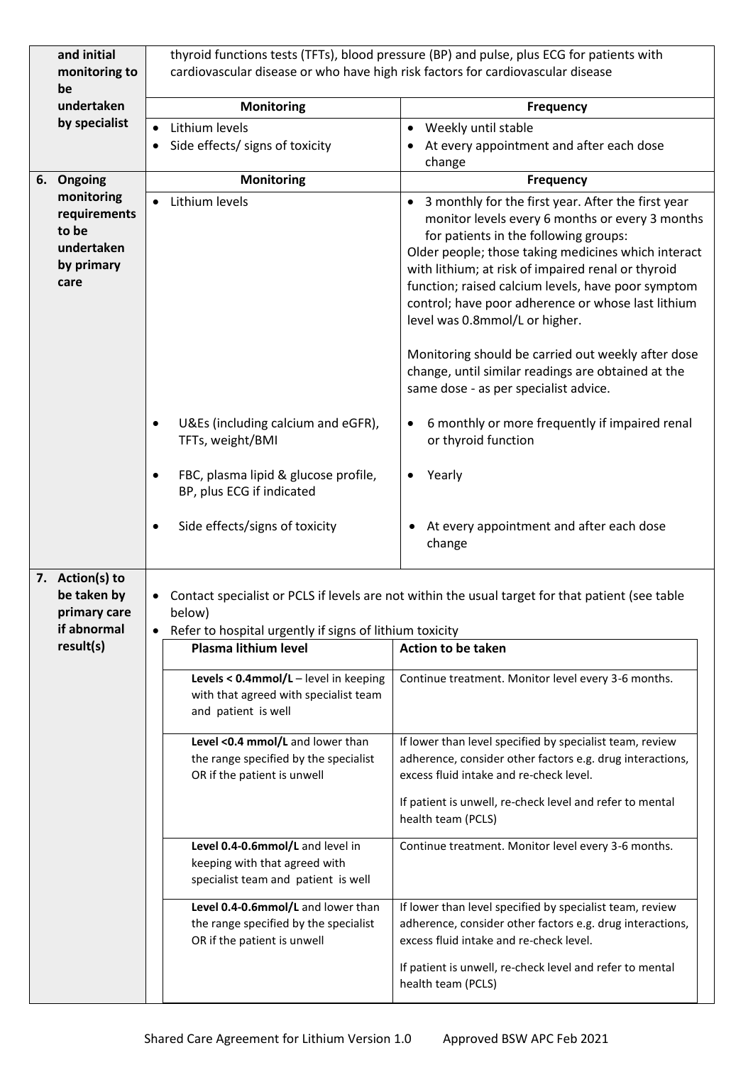| and initial<br>monitoring to<br>be                                      | thyroid functions tests (TFTs), blood pressure (BP) and pulse, plus ECG for patients with<br>cardiovascular disease or who have high risk factors for cardiovascular disease                                                      |                                                                                                            |                                                                                                                                                                                                                                                                                                                                                                                                                                                                                                                                                                |
|-------------------------------------------------------------------------|-----------------------------------------------------------------------------------------------------------------------------------------------------------------------------------------------------------------------------------|------------------------------------------------------------------------------------------------------------|----------------------------------------------------------------------------------------------------------------------------------------------------------------------------------------------------------------------------------------------------------------------------------------------------------------------------------------------------------------------------------------------------------------------------------------------------------------------------------------------------------------------------------------------------------------|
| undertaken                                                              | <b>Monitoring</b><br><b>Frequency</b>                                                                                                                                                                                             |                                                                                                            |                                                                                                                                                                                                                                                                                                                                                                                                                                                                                                                                                                |
| by specialist                                                           |                                                                                                                                                                                                                                   | Lithium levels                                                                                             | Weekly until stable<br>$\bullet$                                                                                                                                                                                                                                                                                                                                                                                                                                                                                                                               |
|                                                                         |                                                                                                                                                                                                                                   | Side effects/ signs of toxicity                                                                            | At every appointment and after each dose<br>change                                                                                                                                                                                                                                                                                                                                                                                                                                                                                                             |
| 6. Ongoing                                                              |                                                                                                                                                                                                                                   | <b>Monitoring</b>                                                                                          | <b>Frequency</b>                                                                                                                                                                                                                                                                                                                                                                                                                                                                                                                                               |
| monitoring<br>requirements<br>to be<br>undertaken<br>by primary<br>care |                                                                                                                                                                                                                                   | Lithium levels                                                                                             | 3 monthly for the first year. After the first year<br>monitor levels every 6 months or every 3 months<br>for patients in the following groups:<br>Older people; those taking medicines which interact<br>with lithium; at risk of impaired renal or thyroid<br>function; raised calcium levels, have poor symptom<br>control; have poor adherence or whose last lithium<br>level was 0.8mmol/L or higher.<br>Monitoring should be carried out weekly after dose<br>change, until similar readings are obtained at the<br>same dose - as per specialist advice. |
|                                                                         |                                                                                                                                                                                                                                   | U&Es (including calcium and eGFR),<br>TFTs, weight/BMI                                                     | 6 monthly or more frequently if impaired renal<br>or thyroid function                                                                                                                                                                                                                                                                                                                                                                                                                                                                                          |
|                                                                         |                                                                                                                                                                                                                                   | FBC, plasma lipid & glucose profile,<br>BP, plus ECG if indicated                                          | Yearly<br>$\bullet$                                                                                                                                                                                                                                                                                                                                                                                                                                                                                                                                            |
|                                                                         |                                                                                                                                                                                                                                   | Side effects/signs of toxicity                                                                             | At every appointment and after each dose<br>change                                                                                                                                                                                                                                                                                                                                                                                                                                                                                                             |
| 7. Action(s) to<br>be taken by<br>primary care<br>if abnormal           | Contact specialist or PCLS if levels are not within the usual target for that patient (see table<br>below)<br>Refer to hospital urgently if signs of lithium toxicity<br><b>Plasma lithium level</b><br><b>Action to be taken</b> |                                                                                                            |                                                                                                                                                                                                                                                                                                                                                                                                                                                                                                                                                                |
| result(s)                                                               |                                                                                                                                                                                                                                   |                                                                                                            |                                                                                                                                                                                                                                                                                                                                                                                                                                                                                                                                                                |
|                                                                         |                                                                                                                                                                                                                                   | Levels < 0.4mmol/L - level in keeping<br>with that agreed with specialist team<br>and patient is well      | Continue treatment. Monitor level every 3-6 months.                                                                                                                                                                                                                                                                                                                                                                                                                                                                                                            |
|                                                                         |                                                                                                                                                                                                                                   | Level <0.4 mmol/L and lower than<br>the range specified by the specialist<br>OR if the patient is unwell   | If lower than level specified by specialist team, review<br>adherence, consider other factors e.g. drug interactions,<br>excess fluid intake and re-check level.                                                                                                                                                                                                                                                                                                                                                                                               |
|                                                                         |                                                                                                                                                                                                                                   |                                                                                                            | If patient is unwell, re-check level and refer to mental<br>health team (PCLS)                                                                                                                                                                                                                                                                                                                                                                                                                                                                                 |
|                                                                         |                                                                                                                                                                                                                                   | Level 0.4-0.6mmol/L and level in<br>keeping with that agreed with<br>specialist team and patient is well   | Continue treatment. Monitor level every 3-6 months.                                                                                                                                                                                                                                                                                                                                                                                                                                                                                                            |
|                                                                         |                                                                                                                                                                                                                                   | Level 0.4-0.6mmol/L and lower than<br>the range specified by the specialist<br>OR if the patient is unwell | If lower than level specified by specialist team, review<br>adherence, consider other factors e.g. drug interactions,<br>excess fluid intake and re-check level.                                                                                                                                                                                                                                                                                                                                                                                               |
|                                                                         |                                                                                                                                                                                                                                   |                                                                                                            | If patient is unwell, re-check level and refer to mental<br>health team (PCLS)                                                                                                                                                                                                                                                                                                                                                                                                                                                                                 |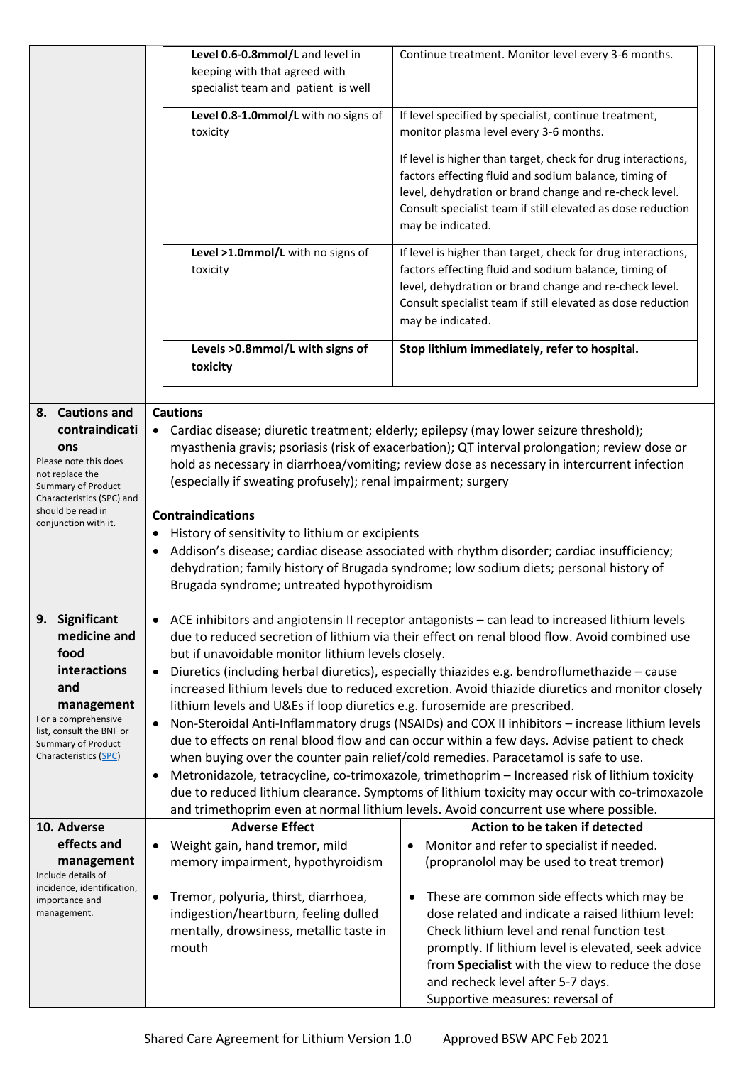|                                                                                             | Level 0.6-0.8mmol/L and level in<br>keeping with that agreed with<br>specialist team and patient is well                                                                                                                                                                                                                                                           | Continue treatment. Monitor level every 3-6 months.                                                                                                                                                                                                                                                                                |  |  |
|---------------------------------------------------------------------------------------------|--------------------------------------------------------------------------------------------------------------------------------------------------------------------------------------------------------------------------------------------------------------------------------------------------------------------------------------------------------------------|------------------------------------------------------------------------------------------------------------------------------------------------------------------------------------------------------------------------------------------------------------------------------------------------------------------------------------|--|--|
|                                                                                             | Level 0.8-1.0mmol/L with no signs of<br>toxicity                                                                                                                                                                                                                                                                                                                   | If level specified by specialist, continue treatment,<br>monitor plasma level every 3-6 months.                                                                                                                                                                                                                                    |  |  |
|                                                                                             |                                                                                                                                                                                                                                                                                                                                                                    | If level is higher than target, check for drug interactions,<br>factors effecting fluid and sodium balance, timing of<br>level, dehydration or brand change and re-check level.<br>Consult specialist team if still elevated as dose reduction<br>may be indicated.                                                                |  |  |
|                                                                                             | Level >1.0mmol/L with no signs of<br>toxicity                                                                                                                                                                                                                                                                                                                      | If level is higher than target, check for drug interactions,<br>factors effecting fluid and sodium balance, timing of<br>level, dehydration or brand change and re-check level.<br>Consult specialist team if still elevated as dose reduction<br>may be indicated.                                                                |  |  |
|                                                                                             | Levels >0.8mmol/L with signs of<br>toxicity                                                                                                                                                                                                                                                                                                                        | Stop lithium immediately, refer to hospital.                                                                                                                                                                                                                                                                                       |  |  |
| 8. Cautions and<br>contraindicati<br>ons                                                    | <b>Cautions</b>                                                                                                                                                                                                                                                                                                                                                    | • Cardiac disease; diuretic treatment; elderly; epilepsy (may lower seizure threshold);<br>myasthenia gravis; psoriasis (risk of exacerbation); QT interval prolongation; review dose or                                                                                                                                           |  |  |
| Please note this does<br>not replace the<br>Summary of Product<br>Characteristics (SPC) and | (especially if sweating profusely); renal impairment; surgery                                                                                                                                                                                                                                                                                                      | hold as necessary in diarrhoea/vomiting; review dose as necessary in intercurrent infection                                                                                                                                                                                                                                        |  |  |
| should be read in<br>conjunction with it.                                                   | <b>Contraindications</b><br>History of sensitivity to lithium or excipients<br>٠<br>Addison's disease; cardiac disease associated with rhythm disorder; cardiac insufficiency;<br>٠<br>dehydration; family history of Brugada syndrome; low sodium diets; personal history of<br>Brugada syndrome; untreated hypothyroidism                                        |                                                                                                                                                                                                                                                                                                                                    |  |  |
| 9. Significant<br>medicine and<br>food<br>interactions                                      | • ACE inhibitors and angiotensin II receptor antagonists - can lead to increased lithium levels<br>due to reduced secretion of lithium via their effect on renal blood flow. Avoid combined use<br>but if unavoidable monitor lithium levels closely.<br>Diuretics (including herbal diuretics), especially thiazides e.g. bendroflumethazide - cause<br>$\bullet$ |                                                                                                                                                                                                                                                                                                                                    |  |  |
| and<br>management<br>For a comprehensive                                                    | lithium levels and U&Es if loop diuretics e.g. furosemide are prescribed.<br>$\bullet$                                                                                                                                                                                                                                                                             | increased lithium levels due to reduced excretion. Avoid thiazide diuretics and monitor closely<br>Non-Steroidal Anti-Inflammatory drugs (NSAIDs) and COX II inhibitors - increase lithium levels                                                                                                                                  |  |  |
| list, consult the BNF or<br><b>Summary of Product</b><br>Characteristics (SPC)              | due to effects on renal blood flow and can occur within a few days. Advise patient to check<br>when buying over the counter pain relief/cold remedies. Paracetamol is safe to use.                                                                                                                                                                                 |                                                                                                                                                                                                                                                                                                                                    |  |  |
|                                                                                             | $\bullet$                                                                                                                                                                                                                                                                                                                                                          | Metronidazole, tetracycline, co-trimoxazole, trimethoprim - Increased risk of lithium toxicity<br>due to reduced lithium clearance. Symptoms of lithium toxicity may occur with co-trimoxazole<br>and trimethoprim even at normal lithium levels. Avoid concurrent use where possible.                                             |  |  |
| 10. Adverse                                                                                 | <b>Adverse Effect</b>                                                                                                                                                                                                                                                                                                                                              | Action to be taken if detected                                                                                                                                                                                                                                                                                                     |  |  |
| effects and                                                                                 | Weight gain, hand tremor, mild<br>$\bullet$                                                                                                                                                                                                                                                                                                                        | Monitor and refer to specialist if needed.<br>$\bullet$                                                                                                                                                                                                                                                                            |  |  |
| management<br>Include details of<br>incidence, identification,                              | memory impairment, hypothyroidism                                                                                                                                                                                                                                                                                                                                  | (propranolol may be used to treat tremor)                                                                                                                                                                                                                                                                                          |  |  |
| importance and<br>management.                                                               | Tremor, polyuria, thirst, diarrhoea,<br>$\bullet$<br>indigestion/heartburn, feeling dulled<br>mentally, drowsiness, metallic taste in<br>mouth                                                                                                                                                                                                                     | These are common side effects which may be<br>dose related and indicate a raised lithium level:<br>Check lithium level and renal function test<br>promptly. If lithium level is elevated, seek advice<br>from Specialist with the view to reduce the dose<br>and recheck level after 5-7 days.<br>Supportive measures: reversal of |  |  |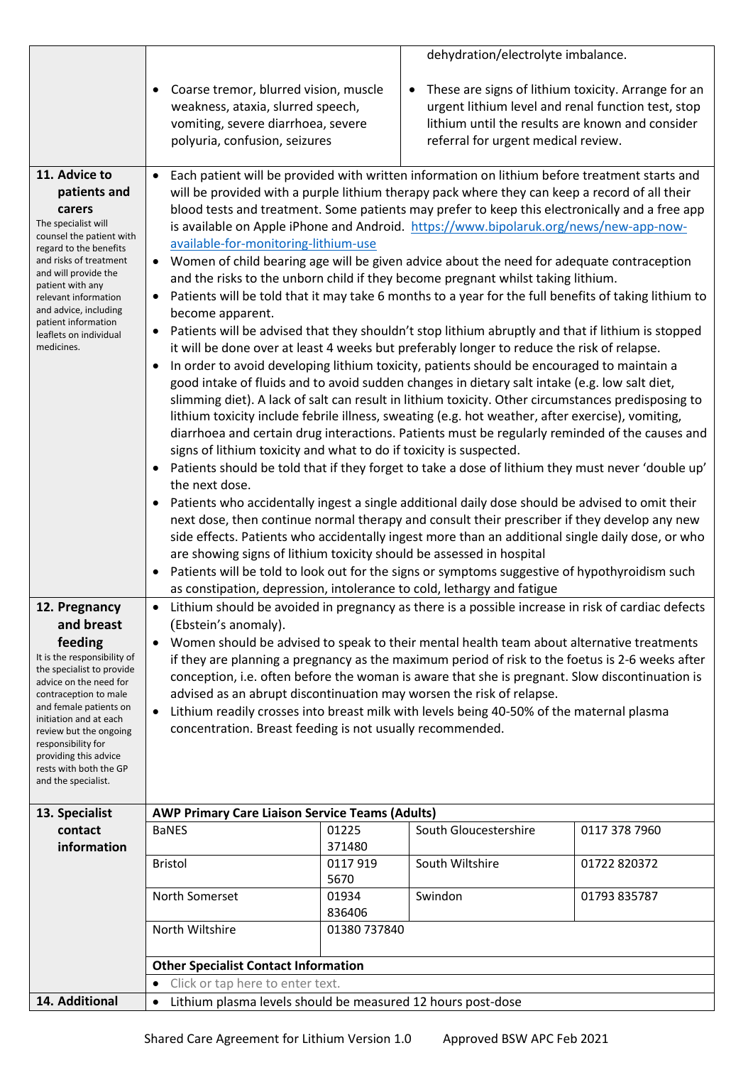|                                                                                                                                                                                                                                                                                                                                           |                                                                                                                                                                                                                                                                                                                                                                                                                                                                                                                                              |                                                                                                                                                                                                                                                                                                                                                                                                                                                                                                                                                                                                                                                                                                                                                                                                                                                                                                                                                                                                                                                                                                                                                                                                                                                                                                                                                                                                                                                                                                                                                                                                                                                                                                                                                                                                                                                                                                                                                                                                                                                                                                                                                                                                                                                                                    | dehydration/electrolyte imbalance.                                                                                                                                                                   |               |
|-------------------------------------------------------------------------------------------------------------------------------------------------------------------------------------------------------------------------------------------------------------------------------------------------------------------------------------------|----------------------------------------------------------------------------------------------------------------------------------------------------------------------------------------------------------------------------------------------------------------------------------------------------------------------------------------------------------------------------------------------------------------------------------------------------------------------------------------------------------------------------------------------|------------------------------------------------------------------------------------------------------------------------------------------------------------------------------------------------------------------------------------------------------------------------------------------------------------------------------------------------------------------------------------------------------------------------------------------------------------------------------------------------------------------------------------------------------------------------------------------------------------------------------------------------------------------------------------------------------------------------------------------------------------------------------------------------------------------------------------------------------------------------------------------------------------------------------------------------------------------------------------------------------------------------------------------------------------------------------------------------------------------------------------------------------------------------------------------------------------------------------------------------------------------------------------------------------------------------------------------------------------------------------------------------------------------------------------------------------------------------------------------------------------------------------------------------------------------------------------------------------------------------------------------------------------------------------------------------------------------------------------------------------------------------------------------------------------------------------------------------------------------------------------------------------------------------------------------------------------------------------------------------------------------------------------------------------------------------------------------------------------------------------------------------------------------------------------------------------------------------------------------------------------------------------------|------------------------------------------------------------------------------------------------------------------------------------------------------------------------------------------------------|---------------|
|                                                                                                                                                                                                                                                                                                                                           | Coarse tremor, blurred vision, muscle<br>weakness, ataxia, slurred speech,<br>vomiting, severe diarrhoea, severe<br>polyuria, confusion, seizures                                                                                                                                                                                                                                                                                                                                                                                            |                                                                                                                                                                                                                                                                                                                                                                                                                                                                                                                                                                                                                                                                                                                                                                                                                                                                                                                                                                                                                                                                                                                                                                                                                                                                                                                                                                                                                                                                                                                                                                                                                                                                                                                                                                                                                                                                                                                                                                                                                                                                                                                                                                                                                                                                                    | These are signs of lithium toxicity. Arrange for an<br>urgent lithium level and renal function test, stop<br>lithium until the results are known and consider<br>referral for urgent medical review. |               |
| 11. Advice to<br>patients and<br>carers<br>The specialist will<br>counsel the patient with<br>regard to the benefits<br>and risks of treatment<br>and will provide the<br>patient with any<br>relevant information<br>and advice, including<br>patient information<br>leaflets on individual<br>medicines.<br>12. Pregnancy<br>and breast | become apparent.<br>$\bullet$<br>$\bullet$<br>the next dose.<br>(Ebstein's anomaly).                                                                                                                                                                                                                                                                                                                                                                                                                                                         | Each patient will be provided with written information on lithium before treatment starts and<br>will be provided with a purple lithium therapy pack where they can keep a record of all their<br>blood tests and treatment. Some patients may prefer to keep this electronically and a free app<br>is available on Apple iPhone and Android. https://www.bipolaruk.org/news/new-app-now-<br>available-for-monitoring-lithium-use<br>Women of child bearing age will be given advice about the need for adequate contraception<br>and the risks to the unborn child if they become pregnant whilst taking lithium.<br>Patients will be told that it may take 6 months to a year for the full benefits of taking lithium to<br>Patients will be advised that they shouldn't stop lithium abruptly and that if lithium is stopped<br>it will be done over at least 4 weeks but preferably longer to reduce the risk of relapse.<br>In order to avoid developing lithium toxicity, patients should be encouraged to maintain a<br>good intake of fluids and to avoid sudden changes in dietary salt intake (e.g. low salt diet,<br>slimming diet). A lack of salt can result in lithium toxicity. Other circumstances predisposing to<br>lithium toxicity include febrile illness, sweating (e.g. hot weather, after exercise), vomiting,<br>diarrhoea and certain drug interactions. Patients must be regularly reminded of the causes and<br>signs of lithium toxicity and what to do if toxicity is suspected.<br>Patients should be told that if they forget to take a dose of lithium they must never 'double up'<br>Patients who accidentally ingest a single additional daily dose should be advised to omit their<br>next dose, then continue normal therapy and consult their prescriber if they develop any new<br>side effects. Patients who accidentally ingest more than an additional single daily dose, or who<br>are showing signs of lithium toxicity should be assessed in hospital<br>Patients will be told to look out for the signs or symptoms suggestive of hypothyroidism such<br>as constipation, depression, intolerance to cold, lethargy and fatigue<br>Lithium should be avoided in pregnancy as there is a possible increase in risk of cardiac defects |                                                                                                                                                                                                      |               |
| feeding                                                                                                                                                                                                                                                                                                                                   |                                                                                                                                                                                                                                                                                                                                                                                                                                                                                                                                              |                                                                                                                                                                                                                                                                                                                                                                                                                                                                                                                                                                                                                                                                                                                                                                                                                                                                                                                                                                                                                                                                                                                                                                                                                                                                                                                                                                                                                                                                                                                                                                                                                                                                                                                                                                                                                                                                                                                                                                                                                                                                                                                                                                                                                                                                                    |                                                                                                                                                                                                      |               |
| It is the responsibility of<br>the specialist to provide<br>advice on the need for<br>contraception to male<br>and female patients on<br>initiation and at each<br>review but the ongoing<br>responsibility for<br>providing this advice<br>rests with both the GP<br>and the specialist.                                                 | Women should be advised to speak to their mental health team about alternative treatments<br>if they are planning a pregnancy as the maximum period of risk to the foetus is 2-6 weeks after<br>conception, i.e. often before the woman is aware that she is pregnant. Slow discontinuation is<br>advised as an abrupt discontinuation may worsen the risk of relapse.<br>Lithium readily crosses into breast milk with levels being 40-50% of the maternal plasma<br>$\bullet$<br>concentration. Breast feeding is not usually recommended. |                                                                                                                                                                                                                                                                                                                                                                                                                                                                                                                                                                                                                                                                                                                                                                                                                                                                                                                                                                                                                                                                                                                                                                                                                                                                                                                                                                                                                                                                                                                                                                                                                                                                                                                                                                                                                                                                                                                                                                                                                                                                                                                                                                                                                                                                                    |                                                                                                                                                                                                      |               |
| 13. Specialist                                                                                                                                                                                                                                                                                                                            | <b>AWP Primary Care Liaison Service Teams (Adults)</b>                                                                                                                                                                                                                                                                                                                                                                                                                                                                                       |                                                                                                                                                                                                                                                                                                                                                                                                                                                                                                                                                                                                                                                                                                                                                                                                                                                                                                                                                                                                                                                                                                                                                                                                                                                                                                                                                                                                                                                                                                                                                                                                                                                                                                                                                                                                                                                                                                                                                                                                                                                                                                                                                                                                                                                                                    |                                                                                                                                                                                                      |               |
| contact<br>information                                                                                                                                                                                                                                                                                                                    | <b>BaNES</b>                                                                                                                                                                                                                                                                                                                                                                                                                                                                                                                                 | 01225<br>371480                                                                                                                                                                                                                                                                                                                                                                                                                                                                                                                                                                                                                                                                                                                                                                                                                                                                                                                                                                                                                                                                                                                                                                                                                                                                                                                                                                                                                                                                                                                                                                                                                                                                                                                                                                                                                                                                                                                                                                                                                                                                                                                                                                                                                                                                    | South Gloucestershire                                                                                                                                                                                | 0117 378 7960 |
|                                                                                                                                                                                                                                                                                                                                           | <b>Bristol</b>                                                                                                                                                                                                                                                                                                                                                                                                                                                                                                                               | 0117919<br>5670                                                                                                                                                                                                                                                                                                                                                                                                                                                                                                                                                                                                                                                                                                                                                                                                                                                                                                                                                                                                                                                                                                                                                                                                                                                                                                                                                                                                                                                                                                                                                                                                                                                                                                                                                                                                                                                                                                                                                                                                                                                                                                                                                                                                                                                                    | South Wiltshire                                                                                                                                                                                      | 01722 820372  |
|                                                                                                                                                                                                                                                                                                                                           | North Somerset                                                                                                                                                                                                                                                                                                                                                                                                                                                                                                                               | 01934<br>836406                                                                                                                                                                                                                                                                                                                                                                                                                                                                                                                                                                                                                                                                                                                                                                                                                                                                                                                                                                                                                                                                                                                                                                                                                                                                                                                                                                                                                                                                                                                                                                                                                                                                                                                                                                                                                                                                                                                                                                                                                                                                                                                                                                                                                                                                    | Swindon                                                                                                                                                                                              | 01793 835787  |
|                                                                                                                                                                                                                                                                                                                                           | North Wiltshire                                                                                                                                                                                                                                                                                                                                                                                                                                                                                                                              | 01380 737840                                                                                                                                                                                                                                                                                                                                                                                                                                                                                                                                                                                                                                                                                                                                                                                                                                                                                                                                                                                                                                                                                                                                                                                                                                                                                                                                                                                                                                                                                                                                                                                                                                                                                                                                                                                                                                                                                                                                                                                                                                                                                                                                                                                                                                                                       |                                                                                                                                                                                                      |               |
|                                                                                                                                                                                                                                                                                                                                           | <b>Other Specialist Contact Information</b>                                                                                                                                                                                                                                                                                                                                                                                                                                                                                                  |                                                                                                                                                                                                                                                                                                                                                                                                                                                                                                                                                                                                                                                                                                                                                                                                                                                                                                                                                                                                                                                                                                                                                                                                                                                                                                                                                                                                                                                                                                                                                                                                                                                                                                                                                                                                                                                                                                                                                                                                                                                                                                                                                                                                                                                                                    |                                                                                                                                                                                                      |               |
|                                                                                                                                                                                                                                                                                                                                           | Click or tap here to enter text.<br>$\bullet$                                                                                                                                                                                                                                                                                                                                                                                                                                                                                                |                                                                                                                                                                                                                                                                                                                                                                                                                                                                                                                                                                                                                                                                                                                                                                                                                                                                                                                                                                                                                                                                                                                                                                                                                                                                                                                                                                                                                                                                                                                                                                                                                                                                                                                                                                                                                                                                                                                                                                                                                                                                                                                                                                                                                                                                                    |                                                                                                                                                                                                      |               |
| 14. Additional                                                                                                                                                                                                                                                                                                                            | Lithium plasma levels should be measured 12 hours post-dose<br>$\bullet$                                                                                                                                                                                                                                                                                                                                                                                                                                                                     |                                                                                                                                                                                                                                                                                                                                                                                                                                                                                                                                                                                                                                                                                                                                                                                                                                                                                                                                                                                                                                                                                                                                                                                                                                                                                                                                                                                                                                                                                                                                                                                                                                                                                                                                                                                                                                                                                                                                                                                                                                                                                                                                                                                                                                                                                    |                                                                                                                                                                                                      |               |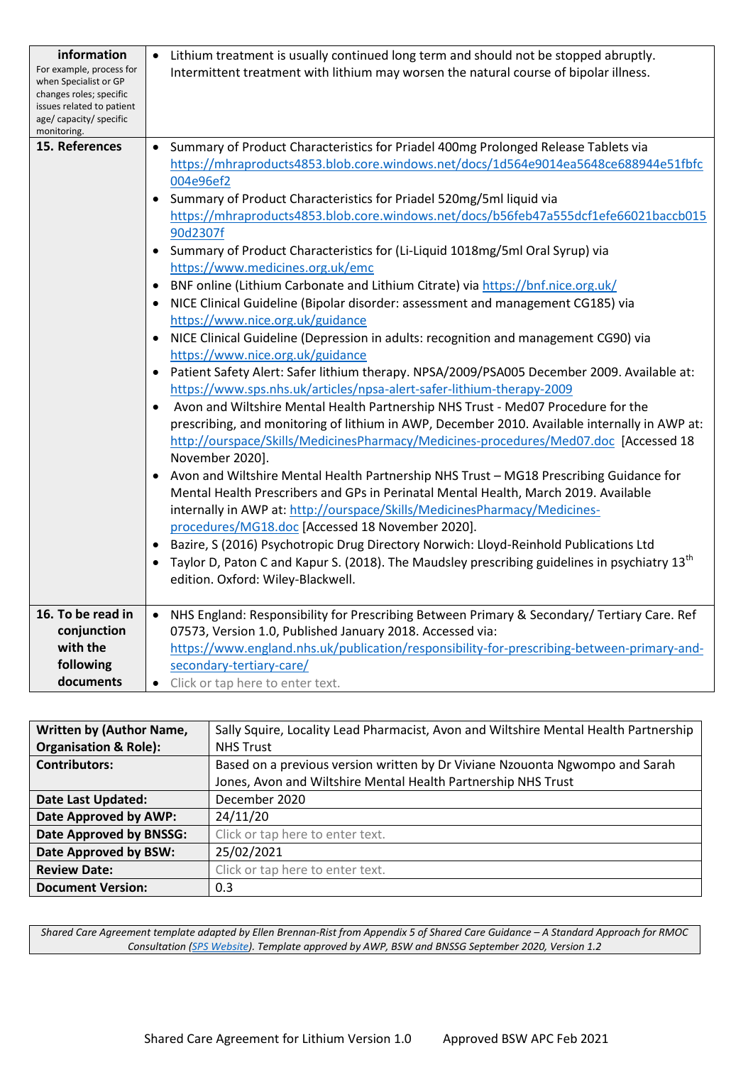| information<br>For example, process for<br>when Specialist or GP<br>changes roles; specific<br>issues related to patient<br>age/ capacity/ specific<br>monitoring. | Lithium treatment is usually continued long term and should not be stopped abruptly.<br>$\bullet$<br>Intermittent treatment with lithium may worsen the natural course of bipolar illness.                                                                                                                                                                                                                                                                                                                                                                                                                                                                                                                                                                                                                                                                                                                                                                                                                                                                                                                                                                                                                                                                                                                                                                                                                                                                                                                                                                                                                                                                                                                                                                                                                                                                                               |
|--------------------------------------------------------------------------------------------------------------------------------------------------------------------|------------------------------------------------------------------------------------------------------------------------------------------------------------------------------------------------------------------------------------------------------------------------------------------------------------------------------------------------------------------------------------------------------------------------------------------------------------------------------------------------------------------------------------------------------------------------------------------------------------------------------------------------------------------------------------------------------------------------------------------------------------------------------------------------------------------------------------------------------------------------------------------------------------------------------------------------------------------------------------------------------------------------------------------------------------------------------------------------------------------------------------------------------------------------------------------------------------------------------------------------------------------------------------------------------------------------------------------------------------------------------------------------------------------------------------------------------------------------------------------------------------------------------------------------------------------------------------------------------------------------------------------------------------------------------------------------------------------------------------------------------------------------------------------------------------------------------------------------------------------------------------------|
| 15. References                                                                                                                                                     | Summary of Product Characteristics for Priadel 400mg Prolonged Release Tablets via<br>$\bullet$<br>https://mhraproducts4853.blob.core.windows.net/docs/1d564e9014ea5648ce688944e51fbfc<br>004e96ef2<br>Summary of Product Characteristics for Priadel 520mg/5ml liquid via<br>https://mhraproducts4853.blob.core.windows.net/docs/b56feb47a555dcf1efe66021baccb015<br>90d2307f<br>Summary of Product Characteristics for (Li-Liquid 1018mg/5ml Oral Syrup) via<br>https://www.medicines.org.uk/emc<br>BNF online (Lithium Carbonate and Lithium Citrate) via https://bnf.nice.org.uk/<br>NICE Clinical Guideline (Bipolar disorder: assessment and management CG185) via<br>https://www.nice.org.uk/guidance<br>NICE Clinical Guideline (Depression in adults: recognition and management CG90) via<br>https://www.nice.org.uk/guidance<br>Patient Safety Alert: Safer lithium therapy. NPSA/2009/PSA005 December 2009. Available at:<br>https://www.sps.nhs.uk/articles/npsa-alert-safer-lithium-therapy-2009<br>Avon and Wiltshire Mental Health Partnership NHS Trust - Med07 Procedure for the<br>$\bullet$<br>prescribing, and monitoring of lithium in AWP, December 2010. Available internally in AWP at:<br>http://ourspace/Skills/MedicinesPharmacy/Medicines-procedures/Med07.doc [Accessed 18<br>November 2020].<br>Avon and Wiltshire Mental Health Partnership NHS Trust - MG18 Prescribing Guidance for<br>Mental Health Prescribers and GPs in Perinatal Mental Health, March 2019. Available<br>internally in AWP at: http://ourspace/Skills/MedicinesPharmacy/Medicines-<br>procedures/MG18.doc [Accessed 18 November 2020].<br>Bazire, S (2016) Psychotropic Drug Directory Norwich: Lloyd-Reinhold Publications Ltd<br>Taylor D, Paton C and Kapur S. (2018). The Maudsley prescribing guidelines in psychiatry 13 <sup>th</sup><br>edition. Oxford: Wiley-Blackwell. |
| 16. To be read in<br>conjunction<br>with the<br>following<br>documents                                                                                             | NHS England: Responsibility for Prescribing Between Primary & Secondary/ Tertiary Care. Ref<br>$\bullet$<br>07573, Version 1.0, Published January 2018. Accessed via:<br>https://www.england.nhs.uk/publication/responsibility-for-prescribing-between-primary-and-<br>secondary-tertiary-care/<br>Click or tap here to enter text.<br>$\bullet$                                                                                                                                                                                                                                                                                                                                                                                                                                                                                                                                                                                                                                                                                                                                                                                                                                                                                                                                                                                                                                                                                                                                                                                                                                                                                                                                                                                                                                                                                                                                         |

| <b>Written by (Author Name,</b>  | Sally Squire, Locality Lead Pharmacist, Avon and Wiltshire Mental Health Partnership |
|----------------------------------|--------------------------------------------------------------------------------------|
| <b>Organisation &amp; Role):</b> | <b>NHS Trust</b>                                                                     |
| <b>Contributors:</b>             | Based on a previous version written by Dr Viviane Nzouonta Ngwompo and Sarah         |
|                                  | Jones, Avon and Wiltshire Mental Health Partnership NHS Trust                        |
| <b>Date Last Updated:</b>        | December 2020                                                                        |
| Date Approved by AWP:            | 24/11/20                                                                             |
| Date Approved by BNSSG:          | Click or tap here to enter text.                                                     |
| Date Approved by BSW:            | 25/02/2021                                                                           |
| <b>Review Date:</b>              | Click or tap here to enter text.                                                     |
| <b>Document Version:</b>         | 0.3                                                                                  |

*Shared Care Agreement template adapted by Ellen Brennan-Rist from Appendix 5 of Shared Care Guidance – A Standard Approach for RMOC Consultation [\(SPS Website\)](https://www.sps.nhs.uk/articles/rmoc-shared-care-guidance-consultation-running-until-7-2-2020). Template approved by AWP, BSW and BNSSG September 2020, Version 1.2*